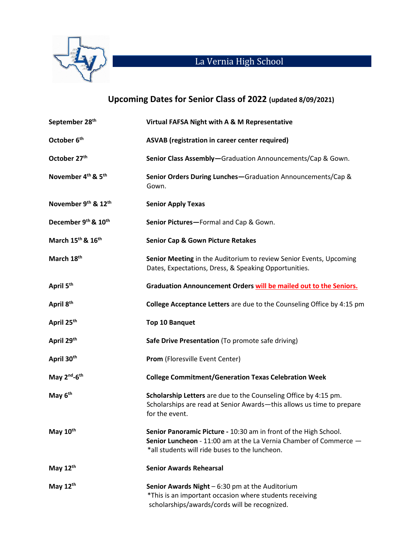

## La Vernia High School

## **Upcoming Dates for Senior Class of 2022 (updated 8/09/2021)**

| September 28 <sup>th</sup>                 | Virtual FAFSA Night with A & M Representative                                                                                                                                           |
|--------------------------------------------|-----------------------------------------------------------------------------------------------------------------------------------------------------------------------------------------|
| October 6 <sup>th</sup>                    | ASVAB (registration in career center required)                                                                                                                                          |
| October 27th                               | Senior Class Assembly-Graduation Announcements/Cap & Gown.                                                                                                                              |
| November 4 <sup>th</sup> & 5 <sup>th</sup> | Senior Orders During Lunches-Graduation Announcements/Cap &<br>Gown.                                                                                                                    |
| November 9th & 12th                        | <b>Senior Apply Texas</b>                                                                                                                                                               |
| December 9th & 10th                        | Senior Pictures-Formal and Cap & Gown.                                                                                                                                                  |
| March 15 <sup>th</sup> & 16 <sup>th</sup>  | <b>Senior Cap &amp; Gown Picture Retakes</b>                                                                                                                                            |
| March 18th                                 | Senior Meeting in the Auditorium to review Senior Events, Upcoming<br>Dates, Expectations, Dress, & Speaking Opportunities.                                                             |
| April 5 <sup>th</sup>                      | Graduation Announcement Orders will be mailed out to the Seniors.                                                                                                                       |
| April 8 <sup>th</sup>                      | College Acceptance Letters are due to the Counseling Office by 4:15 pm                                                                                                                  |
| April 25 <sup>th</sup>                     | <b>Top 10 Banquet</b>                                                                                                                                                                   |
| April 29th                                 | Safe Drive Presentation (To promote safe driving)                                                                                                                                       |
| April 30th                                 | Prom (Floresville Event Center)                                                                                                                                                         |
| May 2 <sup>nd</sup> -6 <sup>th</sup>       | <b>College Commitment/Generation Texas Celebration Week</b>                                                                                                                             |
| May 6 <sup>th</sup>                        | Scholarship Letters are due to the Counseling Office by 4:15 pm.<br>Scholarships are read at Senior Awards-this allows us time to prepare<br>for the event.                             |
| May 10th                                   | Senior Panoramic Picture - 10:30 am in front of the High School.<br>Senior Luncheon - 11:00 am at the La Vernia Chamber of Commerce -<br>*all students will ride buses to the luncheon. |
| May $12^{th}$                              | <b>Senior Awards Rehearsal</b>                                                                                                                                                          |
| May $12^{th}$                              | Senior Awards Night $-6:30$ pm at the Auditorium<br>*This is an important occasion where students receiving<br>scholarships/awards/cords will be recognized.                            |